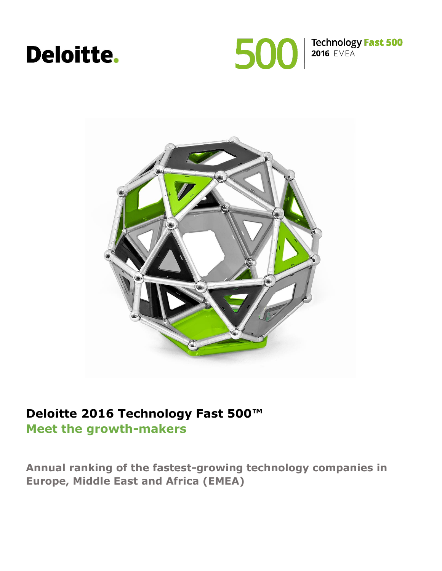# **Deloitte.**





#### **Deloitte 2016 Technology Fast 500™ Meet the growth-makers**

**Annual ranking of the fastest-growing technology companies in Europe, Middle East and Africa (EMEA)**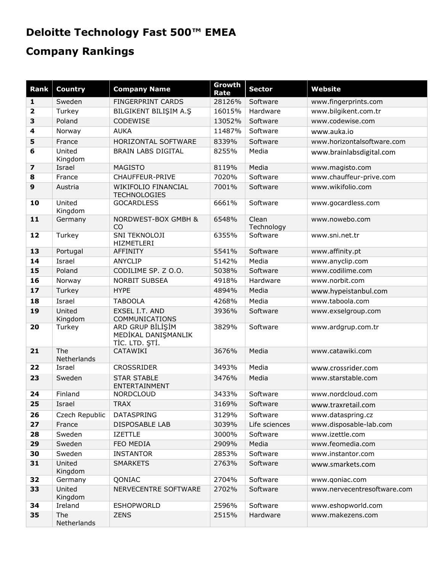## **Deloitte Technology Fast 500™ EMEA**

## **Company Rankings**

| <b>Rank</b>             | <b>Country</b>     | <b>Company Name</b>                                       | Growth<br>Rate | <b>Sector</b>       | <b>Website</b>              |
|-------------------------|--------------------|-----------------------------------------------------------|----------------|---------------------|-----------------------------|
| 1                       | Sweden             | FINGERPRINT CARDS                                         | 28126%         | Software            | www.fingerprints.com        |
| $\overline{\mathbf{2}}$ | Turkey             | BILGIKENT BILIŞIM A.Ş                                     | 16015%         | Hardware            | www.bilgikent.com.tr        |
| 3                       | Poland             | CODEWISE                                                  | 13052%         | Software            | www.codewise.com            |
| 4                       | Norway             | <b>AUKA</b>                                               | 11487%         | Software            | www.auka.io                 |
| 5                       | France             | HORIZONTAL SOFTWARE                                       | 8339%          | Software            | www.horizontalsoftware.com  |
| 6                       | United<br>Kingdom  | <b>BRAIN LABS DIGITAL</b>                                 | 8255%          | Media               | www.brainlabsdigital.com    |
| $\overline{\mathbf{z}}$ | Israel             | <b>MAGISTO</b>                                            | 8119%          | Media               | www.magisto.com             |
| 8                       | France             | CHAUFFEUR-PRIVE                                           | 7020%          | Software            | www.chauffeur-prive.com     |
| 9                       | Austria            | WIKIFOLIO FINANCIAL<br><b>TECHNOLOGIES</b>                | 7001%          | Software            | www.wikifolio.com           |
| 10                      | United<br>Kingdom  | <b>GOCARDLESS</b>                                         | 6661%          | Software            | www.gocardless.com          |
| 11                      | Germany            | NORDWEST-BOX GMBH &<br>CO                                 | 6548%          | Clean<br>Technology | www.nowebo.com              |
| 12                      | Turkey             | SNI TEKNOLOJI<br>HIZMETLERI                               | 6355%          | Software            | www.sni.net.tr              |
| 13                      | Portugal           | <b>AFFINITY</b>                                           | 5541%          | Software            | www.affinity.pt             |
| 14                      | Israel             | <b>ANYCLIP</b>                                            | 5142%          | Media               | www.anyclip.com             |
| 15                      | Poland             | CODILIME SP. Z O.O.                                       | 5038%          | Software            | www.codilime.com            |
| 16                      | Norway             | <b>NORBIT SUBSEA</b>                                      | 4918%          | Hardware            | www.norbit.com              |
| 17                      | Turkey             | <b>HYPE</b>                                               | 4894%          | Media               | www.hypeistanbul.com        |
| 18                      | Israel             | <b>TABOOLA</b>                                            | 4268%          | Media               | www.taboola.com             |
| 19                      | United<br>Kingdom  | EXSEL I.T. AND<br>COMMUNICATIONS                          | 3936%          | Software            | www.exselgroup.com          |
| 20                      | Turkey             | ARD GRUP BİLİŞİM<br>MEDİKAL DANIŞMANLIK<br>TİC. LTD. ŞTİ. | 3829%          | Software            | www.ardgrup.com.tr          |
| 21                      | The<br>Netherlands | CATAWIKI                                                  | 3676%          | Media               | www.catawiki.com            |
| 22                      | Israel             | <b>CROSSRIDER</b>                                         | 3493%          | Media               | www.crossrider.com          |
| 23                      | Sweden             | <b>STAR STABLE</b><br>ENTERTAINMENT                       | 3476%          | Media               | www.starstable.com          |
| 24                      | Finland            | <b>NORDCLOUD</b>                                          | 3433%          | Software            | www.nordcloud.com           |
| 25                      | Israel             | <b>TRAX</b>                                               | 3169%          | Software            | www.traxretail.com          |
| 26                      | Czech Republic     | DATASPRING                                                | 3129%          | Software            | www.dataspring.cz           |
| 27                      | France             | <b>DISPOSABLE LAB</b>                                     | 3039%          | Life sciences       | www.disposable-lab.com      |
| 28                      | Sweden             | <b>IZETTLE</b>                                            | 3000%          | Software            | www.izettle.com             |
| 29                      | Sweden             | FEO MEDIA                                                 | 2909%          | Media               | www.feomedia.com            |
| 30                      | Sweden             | <b>INSTANTOR</b>                                          | 2853%          | Software            | www.instantor.com           |
| 31                      | United<br>Kingdom  | <b>SMARKETS</b>                                           | 2763%          | Software            | www.smarkets.com            |
| 32                      | Germany            | QONIAC                                                    | 2704%          | Software            | www.qoniac.com              |
| 33                      | United<br>Kingdom  | NERVECENTRE SOFTWARE                                      | 2702%          | Software            | www.nervecentresoftware.com |
| 34                      | Ireland            | <b>ESHOPWORLD</b>                                         | 2596%          | Software            | www.eshopworld.com          |
| 35                      | The<br>Netherlands | <b>ZENS</b>                                               | 2515%          | Hardware            | www.makezens.com            |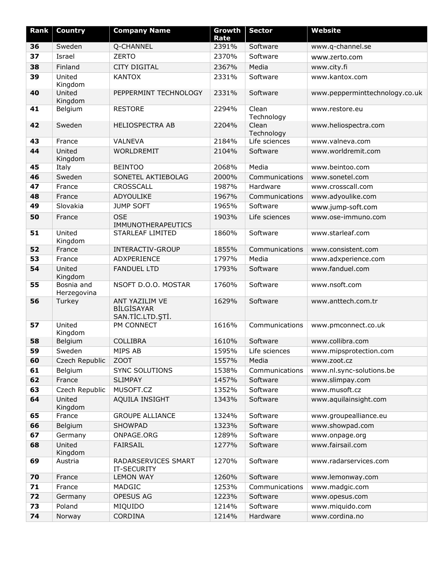| Rank | <b>Country</b>            | <b>Company Name</b>                                     | Growth<br>Rate | <b>Sector</b>       | <b>Website</b>                 |
|------|---------------------------|---------------------------------------------------------|----------------|---------------------|--------------------------------|
| 36   | Sweden                    | Q-CHANNEL                                               | 2391%          | Software            | www.q-channel.se               |
| 37   | Israel                    | <b>ZERTO</b>                                            | 2370%          | Software            | www.zerto.com                  |
| 38   | Finland                   | <b>CITY DIGITAL</b>                                     | 2367%          | Media               | www.city.fi                    |
| 39   | United<br>Kingdom         | <b>KANTOX</b>                                           | 2331%          | Software            | www.kantox.com                 |
| 40   | United<br>Kingdom         | PEPPERMINT TECHNOLOGY                                   | 2331%          | Software            | www.pepperminttechnology.co.uk |
| 41   | Belgium                   | <b>RESTORE</b>                                          | 2294%          | Clean<br>Technology | www.restore.eu                 |
| 42   | Sweden                    | <b>HELIOSPECTRA AB</b>                                  | 2204%          | Clean<br>Technology | www.heliospectra.com           |
| 43   | France                    | <b>VALNEVA</b>                                          | 2184%          | Life sciences       | www.valneva.com                |
| 44   | United<br>Kingdom         | WORLDREMIT                                              | 2104%          | Software            | www.worldremit.com             |
| 45   | Italy                     | <b>BEINTOO</b>                                          | 2068%          | Media               | www.beintoo.com                |
| 46   | Sweden                    | SONETEL AKTIEBOLAG                                      | 2000%          | Communications      | www.sonetel.com                |
| 47   | France                    | <b>CROSSCALL</b>                                        | 1987%          | Hardware            | www.crosscall.com              |
| 48   | France                    | ADYOULIKE                                               | 1967%          | Communications      | www.adyoulike.com              |
| 49   | Slovakia                  | <b>JUMP SOFT</b>                                        | 1965%          | Software            | www.jump-soft.com              |
| 50   | France                    | <b>OSE</b><br>IMMUNOTHERAPEUTICS                        | 1903%          | Life sciences       | www.ose-immuno.com             |
| 51   | United<br>Kingdom         | STARLEAF LIMITED                                        | 1860%          | Software            | www.starleaf.com               |
| 52   | France                    | <b>INTERACTIV-GROUP</b>                                 | 1855%          | Communications      | www.consistent.com             |
| 53   | France                    | ADXPERIENCE                                             | 1797%          | Media               | www.adxperience.com            |
| 54   | United<br>Kingdom         | <b>FANDUEL LTD</b>                                      | 1793%          | Software            | www.fanduel.com                |
| 55   | Bosnia and<br>Herzegovina | NSOFT D.O.O. MOSTAR                                     | 1760%          | Software            | www.nsoft.com                  |
| 56   | Turkey                    | ANT YAZILIM VE<br><b>BİLGİSAYAR</b><br>SAN.TİC.LTD.ŞTİ. | 1629%          | Software            | www.anttech.com.tr             |
| 57   | United<br>Kingdom         | PM CONNECT                                              | 1616%          | Communications      | www.pmconnect.co.uk            |
| 58   | Belgium                   | <b>COLLIBRA</b>                                         | 1610%          | Software            | www.collibra.com               |
| 59   | Sweden                    | MIPS AB                                                 | 1595%          | Life sciences       | www.mipsprotection.com         |
| 60   | Czech Republic            | ZOOT                                                    | 1557%          | Media               | www.zoot.cz                    |
| 61   | Belgium                   | <b>SYNC SOLUTIONS</b>                                   | 1538%          | Communications      | www.nl.sync-solutions.be       |
| 62   | France                    | <b>SLIMPAY</b>                                          | 1457%          | Software            | www.slimpay.com                |
| 63   | Czech Republic            | MUSOFT.CZ                                               | 1352%          | Software            | www.musoft.cz                  |
| 64   | United<br>Kingdom         | AQUILA INSIGHT                                          | 1343%          | Software            | www.aquilainsight.com          |
| 65   | France                    | <b>GROUPE ALLIANCE</b>                                  | 1324%          | Software            | www.groupealliance.eu          |
| 66   | Belgium                   | SHOWPAD                                                 | 1323%          | Software            | www.showpad.com                |
| 67   | Germany                   | ONPAGE.ORG                                              | 1289%          | Software            | www.onpage.org                 |
| 68   | United<br>Kingdom         | <b>FAIRSAIL</b>                                         | 1277%          | Software            | www.fairsail.com               |
| 69   | Austria                   | RADARSERVICES SMART<br>IT-SECURITY                      | 1270%          | Software            | www.radarservices.com          |
| 70   | France                    | <b>LEMON WAY</b>                                        | 1260%          | Software            | www.lemonway.com               |
| 71   | France                    | MADGIC                                                  | 1253%          | Communications      | www.madgic.com                 |
| 72   | Germany                   | OPESUS AG                                               | 1223%          | Software            | www.opesus.com                 |
| 73   | Poland                    | MIQUIDO                                                 | 1214%          | Software            | www.miquido.com                |
| 74   | Norway                    | CORDINA                                                 | 1214%          | Hardware            | www.cordina.no                 |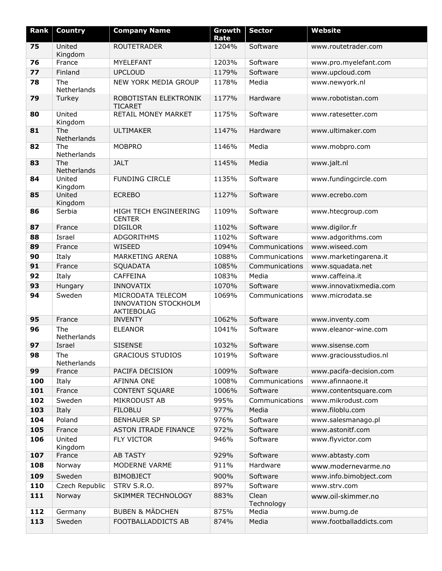| Rank | <b>Country</b>     | <b>Company Name</b>                                            | Growth<br>Rate | <b>Sector</b>       | <b>Website</b>          |
|------|--------------------|----------------------------------------------------------------|----------------|---------------------|-------------------------|
| 75   | United             | <b>ROUTETRADER</b>                                             | 1204%          | Software            | www.routetrader.com     |
|      | Kingdom            |                                                                |                |                     |                         |
| 76   | France             | MYELEFANT                                                      | 1203%          | Software            | www.pro.myelefant.com   |
| 77   | Finland            | <b>UPCLOUD</b>                                                 | 1179%          | Software            | www.upcloud.com         |
| 78   | The<br>Netherlands | NEW YORK MEDIA GROUP                                           | 1178%          | Media               | www.newyork.nl          |
| 79   | Turkey             | ROBOTISTAN ELEKTRONIK<br><b>TICARET</b>                        | 1177%          | Hardware            | www.robotistan.com      |
| 80   | United<br>Kingdom  | RETAIL MONEY MARKET                                            | 1175%          | Software            | www.ratesetter.com      |
| 81   | The<br>Netherlands | <b>ULTIMAKER</b>                                               | 1147%          | Hardware            | www.ultimaker.com       |
| 82   | The<br>Netherlands | <b>MOBPRO</b>                                                  | 1146%          | Media               | www.mobpro.com          |
| 83   | The<br>Netherlands | <b>JALT</b>                                                    | 1145%          | Media               | www.jalt.nl             |
| 84   | United<br>Kingdom  | <b>FUNDING CIRCLE</b>                                          | 1135%          | Software            | www.fundingcircle.com   |
| 85   | United<br>Kingdom  | <b>ECREBO</b>                                                  | 1127%          | Software            | www.ecrebo.com          |
| 86   | Serbia             | HIGH TECH ENGINEERING<br><b>CENTER</b>                         | 1109%          | Software            | www.htecgroup.com       |
| 87   | France             | <b>DIGILOR</b>                                                 | 1102%          | Software            | www.digilor.fr          |
| 88   | Israel             | <b>ADGORITHMS</b>                                              | 1102%          | Software            | www.adgorithms.com      |
| 89   | France             | WISEED                                                         | 1094%          | Communications      | www.wiseed.com          |
| 90   | Italy              | MARKETING ARENA                                                | 1088%          | Communications      | www.marketingarena.it   |
| 91   | France             | SQUADATA                                                       | 1085%          | Communications      | www.squadata.net        |
| 92   | Italy              | <b>CAFFEINA</b>                                                | 1083%          | Media               | www.caffeina.it         |
| 93   | Hungary            | <b>INNOVATIX</b>                                               | 1070%          | Software            | www.innovatixmedia.com  |
| 94   | Sweden             | MICRODATA TELECOM<br><b>INNOVATION STOCKHOLM</b><br>AKTIEBOLAG | 1069%          | Communications      | www.microdata.se        |
| 95   | France             | <b>INVENTY</b>                                                 | 1062%          | Software            | www.inventy.com         |
| 96   | The<br>Netherlands | <b>ELEANOR</b>                                                 | 1041%          | Software            | www.eleanor-wine.com    |
| 97   | Israel             | <b>SISENSE</b>                                                 | 1032%          | Software            | www.sisense.com         |
| 98   | The<br>Netherlands | <b>GRACIOUS STUDIOS</b>                                        | 1019%          | Software            | www.graciousstudios.nl  |
| 99   | France             | PACIFA DECISION                                                | 1009%          | Software            | www.pacifa-decision.com |
| 100  | Italy              | AFINNA ONE                                                     | 1008%          | Communications      | www.afinnaone.it        |
| 101  | France             | <b>CONTENT SQUARE</b>                                          | 1006%          | Software            | www.contentsquare.com   |
| 102  | Sweden             | MIKRODUST AB                                                   | 995%           | Communications      | www.mikrodust.com       |
| 103  | Italy              | <b>FILOBLU</b>                                                 | 977%           | Media               | www.filoblu.com         |
| 104  | Poland             | <b>BENHAUER SP</b>                                             | 976%           | Software            | www.salesmanago.pl      |
| 105  | France             | <b>ASTON ITRADE FINANCE</b>                                    | 972%           | Software            | www.astonitf.com        |
| 106  | United<br>Kingdom  | <b>FLY VICTOR</b>                                              | 946%           | Software            | www.flyvictor.com       |
| 107  | France             | <b>AB TASTY</b>                                                | 929%           | Software            | www.abtasty.com         |
| 108  | Norway             | MODERNE VARME                                                  | 911%           | Hardware            | www.modernevarme.no     |
| 109  | Sweden             | <b>BIMOBJECT</b>                                               | 900%           | Software            | www.info.bimobject.com  |
| 110  | Czech Republic     | STRV S.R.O.                                                    | 897%           | Software            | www.strv.com            |
| 111  | Norway             | SKIMMER TECHNOLOGY                                             | 883%           | Clean<br>Technology | www.oil-skimmer.no      |
| 112  | Germany            | <b>BUBEN &amp; MÄDCHEN</b>                                     | 875%           | Media               | www.bumg.de             |
| 113  | Sweden             | FOOTBALLADDICTS AB                                             | 874%           | Media               | www.footballaddicts.com |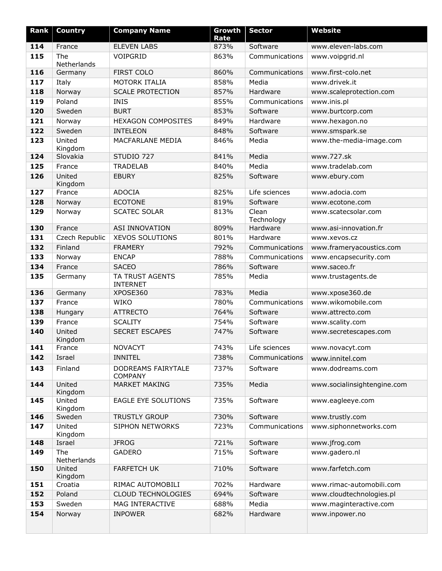| Rank       | <b>Country</b>     | <b>Company Name</b>                     | Growth<br>Rate | <b>Sector</b>        | <b>Website</b>                           |
|------------|--------------------|-----------------------------------------|----------------|----------------------|------------------------------------------|
| 114        | France             | <b>ELEVEN LABS</b>                      | 873%           | Software             | www.eleven-labs.com                      |
| 115        | The<br>Netherlands | VOIPGRID                                | 863%           | Communications       | www.voipgrid.nl                          |
| 116        | Germany            | <b>FIRST COLO</b>                       | 860%           | Communications       | www.first-colo.net                       |
| 117        | Italy              | MOTORK ITALIA                           | 858%           | Media                | www.drivek.it                            |
| 118        | Norway             | <b>SCALE PROTECTION</b>                 | 857%           | Hardware             | www.scaleprotection.com                  |
| 119        | Poland             | <b>INIS</b>                             | 855%           | Communications       | www.inis.pl                              |
| 120        | Sweden             | <b>BURT</b>                             | 853%           | Software             | www.burtcorp.com                         |
| 121        | Norway             | <b>HEXAGON COMPOSITES</b>               | 849%           | Hardware             | www.hexagon.no                           |
| 122        | Sweden             | <b>INTELEON</b>                         | 848%           | Software             | www.smspark.se                           |
| 123        | United<br>Kingdom  | MACFARLANE MEDIA                        | 846%           | Media                | www.the-media-image.com                  |
| 124        | Slovakia           | STUDIO 727                              | 841%           | Media                | www.727.sk                               |
| 125        | France             | <b>TRADELAB</b>                         | 840%           | Media                | www.tradelab.com                         |
| 126        | United<br>Kingdom  | <b>EBURY</b>                            | 825%           | Software             | www.ebury.com                            |
| 127        | France             | <b>ADOCIA</b>                           | 825%           | Life sciences        | www.adocia.com                           |
| 128        | Norway             | <b>ECOTONE</b>                          | 819%           | Software             | www.ecotone.com                          |
| 129        | Norway             | <b>SCATEC SOLAR</b>                     | 813%           | Clean<br>Technology  | www.scatecsolar.com                      |
| 130        | France             | <b>ASI INNOVATION</b>                   | 809%           | Hardware             | www.asi-innovation.fr                    |
| 131        | Czech Republic     | <b>XEVOS SOLUTIONS</b>                  | 801%           | Hardware             | www.xevos.cz                             |
| 132        | Finland            | <b>FRAMERY</b>                          | 792%           | Communications       | www.frameryacoustics.com                 |
| 133        | Norway             | <b>ENCAP</b>                            | 788%           | Communications       | www.encapsecurity.com                    |
| 134        | France             | <b>SACEO</b>                            | 786%           | Software             | www.saceo.fr                             |
| 135        | Germany            | TA TRUST AGENTS<br><b>INTERNET</b>      | 785%           | Media                | www.trustagents.de                       |
| 136        | Germany            | XPOSE360                                | 783%           | Media                | www.xpose360.de                          |
| 137        | France             | <b>WIKO</b>                             | 780%           | Communications       | www.wikomobile.com                       |
| 138        | Hungary            | <b>ATTRECTO</b>                         | 764%           | Software             | www.attrecto.com                         |
| 139<br>140 | France<br>United   | <b>SCALITY</b><br><b>SECRET ESCAPES</b> | 754%<br>747%   | Software<br>Software | www.scality.com<br>www.secretescapes.com |
|            | Kingdom            |                                         |                |                      |                                          |
| 141        | France             | <b>NOVACYT</b>                          | 743%           | Life sciences        | www.novacyt.com                          |
| 142        | Israel             | <b>INNITEL</b>                          | 738%           | Communications       | www.innitel.com                          |
| 143        | Finland            | DODREAMS FAIRYTALE<br><b>COMPANY</b>    | 737%           | Software             | www.dodreams.com                         |
| 144        | United<br>Kingdom  | <b>MARKET MAKING</b>                    | 735%           | Media                | www.socialinsightengine.com              |
| 145        | United<br>Kingdom  | EAGLE EYE SOLUTIONS                     | 735%           | Software             | www.eagleeye.com                         |
| 146        | Sweden             | <b>TRUSTLY GROUP</b>                    | 730%           | Software             | www.trustly.com                          |
| 147        | United<br>Kingdom  | <b>SIPHON NETWORKS</b>                  | 723%           | Communications       | www.siphonnetworks.com                   |
| 148        | Israel             | <b>JFROG</b>                            | 721%           | Software             | www.jfrog.com                            |
| 149        | The<br>Netherlands | <b>GADERO</b>                           | 715%           | Software             | www.gadero.nl                            |
| 150        | United<br>Kingdom  | <b>FARFETCH UK</b>                      | 710%           | Software             | www.farfetch.com                         |
| 151        | Croatia            | RIMAC AUTOMOBILI                        | 702%           | Hardware             | www.rimac-automobili.com                 |
| 152        | Poland             | CLOUD TECHNOLOGIES                      | 694%           | Software             | www.cloudtechnologies.pl                 |
| 153        | Sweden             | MAG INTERACTIVE                         | 688%           | Media                | www.maginteractive.com                   |
| 154        | Norway             | <b>INPOWER</b>                          | 682%           | Hardware             | www.inpower.no                           |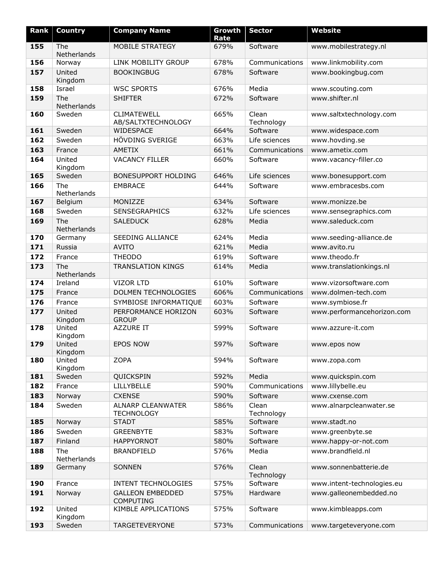| Rank | <b>Country</b>     | <b>Company Name</b>                           | Growth<br>Rate | <b>Sector</b>       | <b>Website</b>             |
|------|--------------------|-----------------------------------------------|----------------|---------------------|----------------------------|
| 155  | The<br>Netherlands | MOBILE STRATEGY                               | 679%           | Software            | www.mobilestrategy.nl      |
| 156  | Norway             | LINK MOBILITY GROUP                           | 678%           | Communications      | www.linkmobility.com       |
| 157  | United<br>Kingdom  | <b>BOOKINGBUG</b>                             | 678%           | Software            | www.bookingbug.com         |
| 158  | Israel             | <b>WSC SPORTS</b>                             | 676%           | Media               | www.scouting.com           |
| 159  | The<br>Netherlands | <b>SHIFTER</b>                                | 672%           | Software            | www.shifter.nl             |
| 160  | Sweden             | CLIMATEWELL<br>AB/SALTXTECHNOLOGY             | 665%           | Clean<br>Technology | www.saltxtechnology.com    |
| 161  | Sweden             | WIDESPACE                                     | 664%           | Software            | www.widespace.com          |
| 162  | Sweden             | HÖVDING SVERIGE                               | 663%           | Life sciences       | www.hovding.se             |
| 163  | France             | <b>AMETIX</b>                                 | 661%           | Communications      | www.ametix.com             |
| 164  | United<br>Kingdom  | <b>VACANCY FILLER</b>                         | 660%           | Software            | www.vacancy-filler.co      |
| 165  | Sweden             | BONESUPPORT HOLDING                           | 646%           | Life sciences       | www.bonesupport.com        |
| 166  | The<br>Netherlands | <b>EMBRACE</b>                                | 644%           | Software            | www.embracesbs.com         |
| 167  | Belgium            | MONIZZE                                       | 634%           | Software            | www.monizze.be             |
| 168  | Sweden             | <b>SENSEGRAPHICS</b>                          | 632%           | Life sciences       | www.sensegraphics.com      |
| 169  | The<br>Netherlands | <b>SALEDUCK</b>                               | 628%           | Media               | www.saleduck.com           |
| 170  | Germany            | <b>SEEDING ALLIANCE</b>                       | 624%           | Media               | www.seeding-alliance.de    |
| 171  | Russia             | <b>AVITO</b>                                  | 621%           | Media               | www.avito.ru               |
| 172  | France             | <b>THEODO</b>                                 | 619%           | Software            | www.theodo.fr              |
| 173  | The<br>Netherlands | <b>TRANSLATION KINGS</b>                      | 614%           | Media               | www.translationkings.nl    |
| 174  | Ireland            | <b>VIZOR LTD</b>                              | 610%           | Software            | www.vizorsoftware.com      |
| 175  | France             | DOLMEN TECHNOLOGIES                           | 606%           | Communications      | www.dolmen-tech.com        |
| 176  | France             | SYMBIOSE INFORMATIQUE                         | 603%           | Software            | www.symbiose.fr            |
| 177  | United<br>Kingdom  | PERFORMANCE HORIZON<br><b>GROUP</b>           | 603%           | Software            | www.performancehorizon.com |
| 178  | United<br>Kingdom  | AZZURE IT                                     | 599%           | Software            | www.azzure-it.com          |
| 179  | United<br>Kingdom  | <b>EPOS NOW</b>                               | 597%           | Software            | www.epos now               |
| 180  | United<br>Kingdom  | <b>ZOPA</b>                                   | 594%           | Software            | www.zopa.com               |
| 181  | Sweden             | QUICKSPIN                                     | 592%           | Media               | www.quickspin.com          |
| 182  | France             | <b>LILLYBELLE</b>                             | 590%           | Communications      | www.lillybelle.eu          |
| 183  | Norway             | <b>CXENSE</b>                                 | 590%           | Software            | www.cxense.com             |
| 184  | Sweden             | <b>ALNARP CLEANWATER</b><br><b>TECHNOLOGY</b> | 586%           | Clean<br>Technology | www.alnarpcleanwater.se    |
| 185  | Norway             | <b>STADT</b>                                  | 585%           | Software            | www.stadt.no               |
| 186  | Sweden             | <b>GREENBYTE</b>                              | 583%           | Software            | www.greenbyte.se           |
| 187  | Finland            | <b>HAPPYORNOT</b>                             | 580%           | Software            | www.happy-or-not.com       |
| 188  | The<br>Netherlands | <b>BRANDFIELD</b>                             | 576%           | Media               | www.brandfield.nl          |
| 189  | Germany            | SONNEN                                        | 576%           | Clean<br>Technology | www.sonnenbatterie.de      |
| 190  | France             | <b>INTENT TECHNOLOGIES</b>                    | 575%           | Software            | www.intent-technologies.eu |
| 191  | Norway             | <b>GALLEON EMBEDDED</b><br><b>COMPUTING</b>   | 575%           | Hardware            | www.galleonembedded.no     |
| 192  | United<br>Kingdom  | KIMBLE APPLICATIONS                           | 575%           | Software            | www.kimbleapps.com         |
| 193  | Sweden             | <b>TARGETEVERYONE</b>                         | 573%           | Communications      | www.targeteveryone.com     |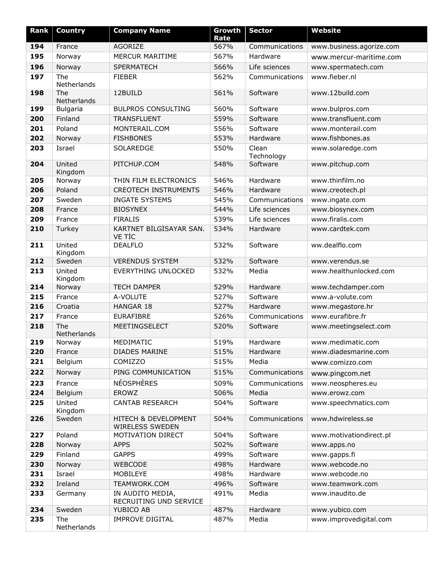| Rank | <b>Country</b>     | <b>Company Name</b>                        | Growth<br>Rate | <b>Sector</b>       | <b>Website</b>           |
|------|--------------------|--------------------------------------------|----------------|---------------------|--------------------------|
| 194  | France             | AGORIZE                                    | 567%           | Communications      | www.business.agorize.com |
| 195  | Norway             | MERCUR MARITIME                            | 567%           | Hardware            | www.mercur-maritime.com  |
| 196  | Norway             | <b>SPERMATECH</b>                          | 566%           | Life sciences       | www.spermatech.com       |
| 197  | The<br>Netherlands | <b>FIEBER</b>                              | 562%           | Communications      | www.fieber.nl            |
| 198  | The<br>Netherlands | 12BUILD                                    | 561%           | Software            | www.12build.com          |
| 199  | Bulgaria           | <b>BULPROS CONSULTING</b>                  | 560%           | Software            | www.bulpros.com          |
| 200  | Finland            | <b>TRANSFLUENT</b>                         | 559%           | Software            | www.transfluent.com      |
| 201  | Poland             | MONTERAIL.COM                              | 556%           | Software            | www.monterail.com        |
| 202  | Norway             | <b>FISHBONES</b>                           | 553%           | Hardware            | www.fishbones.as         |
| 203  | Israel             | SOLAREDGE                                  | 550%           | Clean<br>Technology | www.solaredge.com        |
| 204  | United<br>Kingdom  | PITCHUP.COM                                | 548%           | Software            | www.pitchup.com          |
| 205  | Norway             | THIN FILM ELECTRONICS                      | 546%           | Hardware            | www.thinfilm.no          |
| 206  | Poland             | <b>CREOTECH INSTRUMENTS</b>                | 546%           | Hardware            | www.creotech.pl          |
| 207  | Sweden             | <b>INGATE SYSTEMS</b>                      | 545%           | Communications      | www.ingate.com           |
| 208  | France             | <b>BIOSYNEX</b>                            | 544%           | Life sciences       | www.biosynex.com         |
| 209  | France             | <b>FIRALIS</b>                             | 539%           | Life sciences       | www.firalis.com          |
| 210  | Turkey             | KARTNET BİLGİSAYAR SAN.<br><b>VE TİC</b>   | 534%           | Hardware            | www.cardtek.com          |
| 211  | United<br>Kingdom  | <b>DEALFLO</b>                             | 532%           | Software            | ww.dealflo.com           |
| 212  | Sweden             | <b>VERENDUS SYSTEM</b>                     | 532%           | Software            | www.verendus.se          |
| 213  | United<br>Kingdom  | EVERYTHING UNLOCKED                        | 532%           | Media               | www.healthunlocked.com   |
| 214  | Norway             | <b>TECH DAMPER</b>                         | 529%           | Hardware            | www.techdamper.com       |
| 215  | France             | A-VOLUTE                                   | 527%           | Software            | www.a-volute.com         |
| 216  | Croatia            | HANGAR 18                                  | 527%           | Hardware            | www.megastore.hr         |
| 217  | France             | <b>EURAFIBRE</b>                           | 526%           | Communications      | www.eurafibre.fr         |
| 218  | The<br>Netherlands | MEETINGSELECT                              | 520%           | Software            | www.meetingselect.com    |
| 219  | Norway             | MEDIMATIC                                  | 519%           | Hardware            | www.medimatic.com        |
| 220  | France             | <b>DIADES MARINE</b>                       | 515%           | Hardware            | www.diadesmarine.com     |
| 221  | Belgium            | COMIZZO                                    | 515%           | Media               | www.comizzo.com          |
| 222  | Norway             | PING COMMUNICATION                         | 515%           | Communications      | www.pingcom.net          |
| 223  | France             | <b>NÉOSPHÈRES</b>                          | 509%           | Communications      | www.neospheres.eu        |
| 224  | Belgium            | EROWZ                                      | 506%           | Media               | www.erowz.com            |
| 225  | United             | <b>CANTAB RESEARCH</b>                     | 504%           | Software            | www.speechmatics.com     |
| 226  | Kingdom<br>Sweden  | HITECH & DEVELOPMENT<br>WIRELESS SWEDEN    | 504%           | Communications      | www.hdwireless.se        |
| 227  | Poland             | MOTIVATION DIRECT                          | 504%           | Software            | www.motivationdirect.pl  |
| 228  | Norway             | <b>APPS</b>                                | 502%           | Software            | www.apps.no              |
| 229  | Finland            | <b>GAPPS</b>                               | 499%           | Software            | www.gapps.fi             |
| 230  | Norway             | <b>WEBCODE</b>                             | 498%           | Hardware            | www.webcode.no           |
| 231  | Israel             | MOBILEYE                                   | 498%           | Hardware            | www.webcode.no           |
| 232  | Ireland            | TEAMWORK.COM                               | 496%           | Software            | www.teamwork.com         |
| 233  | Germany            | IN AUDITO MEDIA,<br>RECRUITING UND SERVICE | 491%           | Media               | www.inaudito.de          |
| 234  | Sweden             | YUBICO AB                                  | 487%           | Hardware            | www.yubico.com           |
| 235  | The<br>Netherlands | <b>IMPROVE DIGITAL</b>                     | 487%           | Media               | www.improvedigital.com   |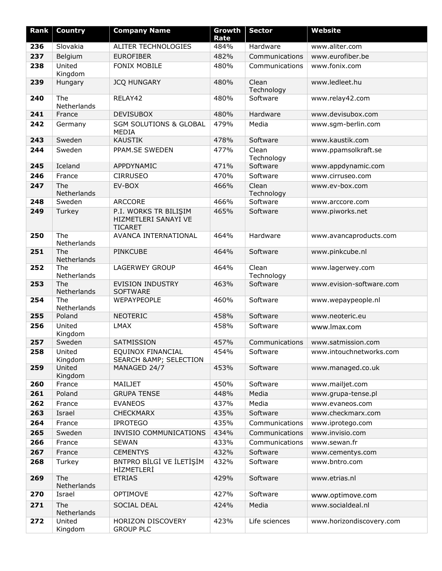| Rank | <b>Country</b>     | <b>Company Name</b>                                             | Growth       | <b>Sector</b>       | <b>Website</b>           |
|------|--------------------|-----------------------------------------------------------------|--------------|---------------------|--------------------------|
| 236  | Slovakia           | ALITER TECHNOLOGIES                                             | Rate<br>484% | Hardware            | www.aliter.com           |
| 237  | Belgium            | <b>EUROFIBER</b>                                                | 482%         | Communications      | www.eurofiber.be         |
| 238  | United<br>Kingdom  | <b>FONIX MOBILE</b>                                             | 480%         | Communications      | www.fonix.com            |
| 239  | Hungary            | <b>JCQ HUNGARY</b>                                              | 480%         | Clean<br>Technology | www.ledleet.hu           |
| 240  | The<br>Netherlands | RELAY42                                                         | 480%         | Software            | www.relay42.com          |
| 241  | France             | <b>DEVISUBOX</b>                                                | 480%         | Hardware            | www.devisubox.com        |
| 242  | Germany            | <b>SGM SOLUTIONS &amp; GLOBAL</b><br><b>MEDIA</b>               | 479%         | Media               | www.sgm-berlin.com       |
| 243  | Sweden             | <b>KAUSTIK</b>                                                  | 478%         | Software            | www.kaustik.com          |
| 244  | Sweden             | PPAM.SE SWEDEN                                                  | 477%         | Clean<br>Technology | www.ppamsolkraft.se      |
| 245  | Iceland            | APPDYNAMIC                                                      | 471%         | Software            | www.appdynamic.com       |
| 246  | France             | <b>CIRRUSEO</b>                                                 | 470%         | Software            | www.cirruseo.com         |
| 247  | The<br>Netherlands | EV-BOX                                                          | 466%         | Clean<br>Technology | www.ev-box.com           |
| 248  | Sweden             | <b>ARCCORE</b>                                                  | 466%         | Software            | www.arccore.com          |
| 249  | Turkey             | P.I. WORKS TR BILIŞIM<br>HIZMETLERI SANAYI VE<br><b>TICARET</b> | 465%         | Software            | www.piworks.net          |
| 250  | The<br>Netherlands | AVANCA INTERNATIONAL                                            | 464%         | Hardware            | www.avancaproducts.com   |
| 251  | The<br>Netherlands | <b>PINKCUBE</b>                                                 | 464%         | Software            | www.pinkcube.nl          |
| 252  | The<br>Netherlands | <b>LAGERWEY GROUP</b>                                           | 464%         | Clean<br>Technology | www.lagerwey.com         |
| 253  | The<br>Netherlands | <b>EVISION INDUSTRY</b><br><b>SOFTWARE</b>                      | 463%         | Software            | www.evision-software.com |
| 254  | The<br>Netherlands | WEPAYPEOPLE                                                     | 460%         | Software            | www.wepaypeople.nl       |
| 255  | Poland             | <b>NEOTERIC</b>                                                 | 458%         | Software            | www.neoteric.eu          |
| 256  | United<br>Kingdom  | <b>LMAX</b>                                                     | 458%         | Software            | www.lmax.com             |
| 257  | Sweden             | SATMISSION                                                      | 457%         | Communications      | www.satmission.com       |
| 258  | United<br>Kingdom  | EQUINOX FINANCIAL<br>SEARCH & AMP; SELECTION                    | 454%         | Software            | www.intouchnetworks.com  |
| 259  | United<br>Kingdom  | MANAGED 24/7                                                    | 453%         | Software            | www.managed.co.uk        |
| 260  | France             | MAILJET                                                         | 450%         | Software            | www.mailjet.com          |
| 261  | Poland             | <b>GRUPA TENSE</b>                                              | 448%         | Media               | www.grupa-tense.pl       |
| 262  | France             | <b>EVANEOS</b>                                                  | 437%         | Media               | www.evaneos.com          |
| 263  | Israel             | <b>CHECKMARX</b>                                                | 435%         | Software            | www.checkmarx.com        |
| 264  | France             | <b>IPROTEGO</b>                                                 | 435%         | Communications      | www.iprotego.com         |
| 265  | Sweden             | <b>INVISIO COMMUNICATIONS</b>                                   | 434%         | Communications      | www.invisio.com          |
| 266  | France             | <b>SEWAN</b>                                                    | 433%         | Communications      | www.sewan.fr             |
| 267  | France             | <b>CEMENTYS</b>                                                 | 432%         | Software            | www.cementys.com         |
| 268  | Turkey             | BNTPRO BİLGİ VE İLETİSİM<br>HİZMETLERİ                          | 432%         | Software            | www.bntro.com            |
| 269  | The<br>Netherlands | <b>ETRIAS</b>                                                   | 429%         | Software            | www.etrias.nl            |
| 270  | Israel             | <b>OPTIMOVE</b>                                                 | 427%         | Software            | www.optimove.com         |
| 271  | The<br>Netherlands | <b>SOCIAL DEAL</b>                                              | 424%         | Media               | www.socialdeal.nl        |
| 272  | United<br>Kingdom  | HORIZON DISCOVERY<br><b>GROUP PLC</b>                           | 423%         | Life sciences       | www.horizondiscovery.com |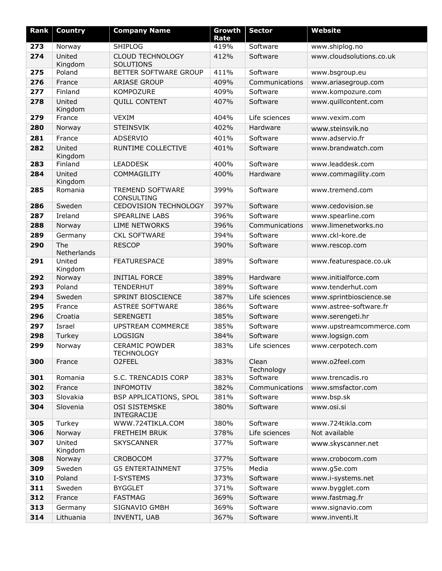| Rank | <b>Country</b>     | <b>Company Name</b>                         | Growth<br>Rate | <b>Sector</b>       | <b>Website</b>           |
|------|--------------------|---------------------------------------------|----------------|---------------------|--------------------------|
| 273  | Norway             | <b>SHIPLOG</b>                              | 419%           | Software            | www.shiplog.no           |
| 274  | United<br>Kingdom  | <b>CLOUD TECHNOLOGY</b><br><b>SOLUTIONS</b> | 412%           | Software            | www.cloudsolutions.co.uk |
| 275  | Poland             | BETTER SOFTWARE GROUP                       | 411%           | Software            | www.bsgroup.eu           |
| 276  | France             | <b>ARIASE GROUP</b>                         | 409%           | Communications      | www.ariasegroup.com      |
| 277  | Finland            | KOMPOZURE                                   | 409%           | Software            | www.kompozure.com        |
| 278  | United<br>Kingdom  | <b>QUILL CONTENT</b>                        | 407%           | Software            | www.quillcontent.com     |
| 279  | France             | <b>VEXIM</b>                                | 404%           | Life sciences       | www.vexim.com            |
| 280  | Norway             | <b>STEINSVIK</b>                            | 402%           | Hardware            | www.steinsvik.no         |
| 281  | France             | <b>ADSERVIO</b>                             | 401%           | Software            | www.adservio.fr          |
| 282  | United<br>Kingdom  | RUNTIME COLLECTIVE                          | 401%           | Software            | www.brandwatch.com       |
| 283  | Finland            | <b>LEADDESK</b>                             | 400%           | Software            | www.leaddesk.com         |
| 284  | United<br>Kingdom  | COMMAGILITY                                 | 400%           | Hardware            | www.commagility.com      |
| 285  | Romania            | <b>TREMEND SOFTWARE</b><br>CONSULTING       | 399%           | Software            | www.tremend.com          |
| 286  | Sweden             | CEDOVISION TECHNOLOGY                       | 397%           | Software            | www.cedovision.se        |
| 287  | Ireland            | <b>SPEARLINE LABS</b>                       | 396%           | Software            | www.spearline.com        |
| 288  | Norway             | <b>LIME NETWORKS</b>                        | 396%           | Communications      | www.limenetworks.no      |
| 289  | Germany            | <b>CKL SOFTWARE</b>                         | 394%           | Software            | www.ckl-kore.de          |
| 290  | The<br>Netherlands | <b>RESCOP</b>                               | 390%           | Software            | www.rescop.com           |
| 291  | United<br>Kingdom  | <b>FEATURESPACE</b>                         | 389%           | Software            | www.featurespace.co.uk   |
| 292  | Norway             | <b>INITIAL FORCE</b>                        | 389%           | Hardware            | www.initialforce.com     |
| 293  | Poland             | <b>TENDERHUT</b>                            | 389%           | Software            | www.tenderhut.com        |
| 294  | Sweden             | SPRINT BIOSCIENCE                           | 387%           | Life sciences       | www.sprintbioscience.se  |
| 295  | France             | <b>ASTREE SOFTWARE</b>                      | 386%           | Software            | www.astree-software.fr   |
| 296  | Croatia            | SERENGETI                                   | 385%           | Software            | www.serengeti.hr         |
| 297  | Israel             | UPSTREAM COMMERCE                           | 385%           | Software            | www.upstreamcommerce.com |
| 298  | Turkey             | <b>LOGSIGN</b>                              | 384%           | Software            | www.logsign.com          |
| 299  | Norway             | <b>CERAMIC POWDER</b><br><b>TECHNOLOGY</b>  | 383%           | Life sciences       | www.cerpotech.com        |
| 300  | France             | O2FEEL                                      | 383%           | Clean<br>Technology | www.o2feel.com           |
| 301  | Romania            | S.C. TRENCADIS CORP                         | 383%           | Software            | www.trencadis.ro         |
| 302  | France             | <b>INFOMOTIV</b>                            | 382%           | Communications      | www.smsfactor.com        |
| 303  | Slovakia           | <b>BSP APPLICATIONS, SPOL</b>               | 381%           | Software            | www.bsp.sk               |
| 304  | Slovenia           | <b>OSI SISTEMSKE</b><br>INTEGRACIJE         | 380%           | Software            | www.osi.si               |
| 305  | Turkey             | WWW.724TIKLA.COM                            | 380%           | Software            | www.724tikla.com         |
| 306  | Norway             | FRETHEIM BRUK                               | 378%           | Life sciences       | Not available            |
| 307  | United<br>Kingdom  | <b>SKYSCANNER</b>                           | 377%           | Software            | www.skyscanner.net       |
| 308  | Norway             | CROBOCOM                                    | 377%           | Software            | www.crobocom.com         |
| 309  | Sweden             | <b>G5 ENTERTAINMENT</b>                     | 375%           | Media               | www.g5e.com              |
| 310  | Poland             | I-SYSTEMS                                   | 373%           | Software            | www.i-systems.net        |
| 311  | Sweden             | <b>BYGGLET</b>                              | 371%           | Software            | www.bygglet.com          |
| 312  | France             | <b>FASTMAG</b>                              | 369%           | Software            | www.fastmag.fr           |
| 313  | Germany            | SIGNAVIO GMBH                               | 369%           | Software            | www.signavio.com         |
| 314  | Lithuania          | INVENTI, UAB                                | 367%           | Software            | www.inventi.lt           |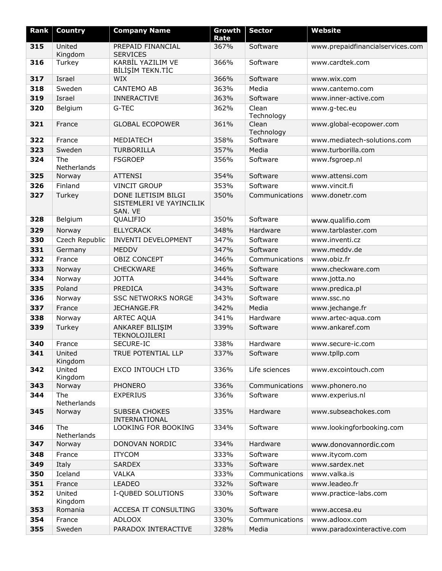| <b>Rank</b> | <b>Country</b>     | <b>Company Name</b>                                        | Growth       | <b>Sector</b>       | <b>Website</b>                   |
|-------------|--------------------|------------------------------------------------------------|--------------|---------------------|----------------------------------|
| 315         | United             | PREPAID FINANCIAL                                          | Rate<br>367% | Software            | www.prepaidfinancialservices.com |
|             | Kingdom            | <b>SERVICES</b>                                            |              |                     |                                  |
| 316         | Turkey             | KARBİL YAZILIM VE<br><b>BİLİŞİM TEKN.TİC</b>               | 366%         | Software            | www.cardtek.com                  |
| 317         | Israel             | <b>WIX</b>                                                 | 366%         | Software            | www.wix.com                      |
| 318         | Sweden             | <b>CANTEMO AB</b>                                          | 363%         | Media               | www.cantemo.com                  |
| 319         | Israel             | <b>INNERACTIVE</b>                                         | 363%         | Software            | www.inner-active.com             |
| 320         | Belgium            | G-TEC                                                      | 362%         | Clean<br>Technology | www.g-tec.eu                     |
| 321         | France             | <b>GLOBAL ECOPOWER</b>                                     | 361%         | Clean<br>Technology | www.global-ecopower.com          |
| 322         | France             | MEDIATECH                                                  | 358%         | Software            | www.mediatech-solutions.com      |
| 323         | Sweden             | <b>TURBORILLA</b>                                          | 357%         | Media               | www.turborilla.com               |
| 324         | The<br>Netherlands | <b>FSGROEP</b>                                             | 356%         | Software            | www.fsgroep.nl                   |
| 325         | Norway             | <b>ATTENSI</b>                                             | 354%         | Software            | www.attensi.com                  |
| 326         | Finland            | <b>VINCIT GROUP</b>                                        | 353%         | Software            | www.vincit.fi                    |
| 327         | Turkey             | DONE ILETISIM BILGI<br>SISTEMLERI VE YAYINCILIK<br>SAN. VE | 350%         | Communications      | www.donetr.com                   |
| 328         | Belgium            | QUALIFIO                                                   | 350%         | Software            | www.qualifio.com                 |
| 329         | Norway             | <b>ELLYCRACK</b>                                           | 348%         | Hardware            | www.tarblaster.com               |
| 330         | Czech Republic     | <b>INVENTI DEVELOPMENT</b>                                 | 347%         | Software            | www.inventi.cz                   |
| 331         | Germany            | <b>MEDDV</b>                                               | 347%         | Software            | www.meddv.de                     |
| 332         | France             | <b>OBIZ CONCEPT</b>                                        | 346%         | Communications      | www.obiz.fr                      |
| 333         | Norway             | CHECKWARE                                                  | 346%         | Software            | www.checkware.com                |
| 334         | Norway             | <b>JOTTA</b>                                               | 344%         | Software            | www.jotta.no                     |
| 335         | Poland             | PREDICA                                                    | 343%         | Software            | www.predica.pl                   |
| 336         | Norway             | <b>SSC NETWORKS NORGE</b>                                  | 343%         | Software            | www.ssc.no                       |
| 337         | France             | <b>JECHANGE.FR</b>                                         | 342%         | Media               | www.jechange.fr                  |
| 338         | Norway             | <b>ARTEC AQUA</b>                                          | 341%         | Hardware            | www.artec-aqua.com               |
| 339         | Turkey             | ANKAREF BILIŞIM<br><b>TEKNOLOJILERI</b>                    | 339%         | Software            | www.ankaref.com                  |
| 340         | France             | SECURE-IC                                                  | 338%         | Hardware            | www.secure-ic.com                |
| 341         | United<br>Kingdom  | TRUE POTENTIAL LLP                                         | 337%         | Software            | www.tpllp.com                    |
| 342         | United<br>Kingdom  | <b>EXCO INTOUCH LTD</b>                                    | 336%         | Life sciences       | www.excointouch.com              |
| 343         | Norway             | <b>PHONERO</b>                                             | 336%         | Communications      | www.phonero.no                   |
| 344         | The<br>Netherlands | <b>EXPERIUS</b>                                            | 336%         | Software            | www.experius.nl                  |
| 345         | Norway             | SUBSEA CHOKES<br>INTERNATIONAL                             | 335%         | Hardware            | www.subseachokes.com             |
| 346         | The<br>Netherlands | LOOKING FOR BOOKING                                        | 334%         | Software            | www.lookingforbooking.com        |
| 347         | Norway             | DONOVAN NORDIC                                             | 334%         | Hardware            | www.donovannordic.com            |
| 348         | France             | <b>ITYCOM</b>                                              | 333%         | Software            | www.itycom.com                   |
| 349         | Italy              | <b>SARDEX</b>                                              | 333%         | Software            | www.sardex.net                   |
| 350         | Iceland            | <b>VALKA</b>                                               | 333%         | Communications      | www.valka.is                     |
| 351         | France             | <b>LEADEO</b>                                              | 332%         | Software            | www.leadeo.fr                    |
| 352         | United<br>Kingdom  | I-QUBED SOLUTIONS                                          | 330%         | Software            | www.practice-labs.com            |
| 353         | Romania            | ACCESA IT CONSULTING                                       | 330%         | Software            | www.accesa.eu                    |
| 354         | France             | <b>ADLOOX</b>                                              | 330%         | Communications      | www.adloox.com                   |
| 355         | Sweden             | PARADOX INTERACTIVE                                        | 328%         | Media               | www.paradoxinteractive.com       |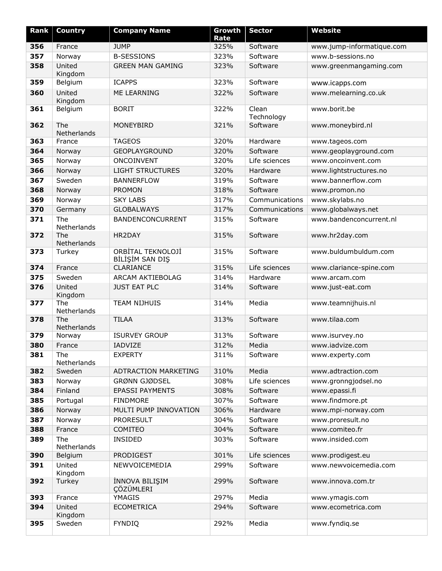| Rank | <b>Country</b>     | <b>Company Name</b>                  | Growth<br>Rate | <b>Sector</b>       | <b>Website</b>            |
|------|--------------------|--------------------------------------|----------------|---------------------|---------------------------|
| 356  | France             | <b>JUMP</b>                          | 325%           | Software            | www.jump-informatique.com |
| 357  | Norway             | <b>B-SESSIONS</b>                    | 323%           | Software            | www.b-sessions.no         |
| 358  | United<br>Kingdom  | <b>GREEN MAN GAMING</b>              | 323%           | Software            | www.greenmangaming.com    |
| 359  | Belgium            | <b>ICAPPS</b>                        | 323%           | Software            | www.icapps.com            |
| 360  | United<br>Kingdom  | ME LEARNING                          | 322%           | Software            | www.melearning.co.uk      |
| 361  | Belgium            | <b>BORIT</b>                         | 322%           | Clean<br>Technology | www.borit.be              |
| 362  | The<br>Netherlands | MONEYBIRD                            | 321%           | Software            | www.moneybird.nl          |
| 363  | France             | <b>TAGEOS</b>                        | 320%           | Hardware            | www.tageos.com            |
| 364  | Norway             | <b>GEOPLAYGROUND</b>                 | 320%           | Software            | www.geoplayground.com     |
| 365  | Norway             | ONCOINVENT                           | 320%           | Life sciences       | www.oncoinvent.com        |
| 366  | Norway             | <b>LIGHT STRUCTURES</b>              | 320%           | Hardware            | www.lightstructures.no    |
| 367  | Sweden             | <b>BANNERFLOW</b>                    | 319%           | Software            | www.bannerflow.com        |
| 368  | Norway             | <b>PROMON</b>                        | 318%           | Software            | www.promon.no             |
| 369  | Norway             | <b>SKY LABS</b>                      | 317%           | Communications      | www.skylabs.no            |
| 370  | Germany            | <b>GLOBALWAYS</b>                    | 317%           | Communications      | www.globalways.net        |
| 371  | The<br>Netherlands | BANDENCONCURRENT                     | 315%           | Software            | www.bandenconcurrent.nl   |
| 372  | The<br>Netherlands | HR2DAY                               | 315%           | Software            | www.hr2day.com            |
| 373  | Turkey             | ORBİTAL TEKNOLOJİ<br>BİLİŞİM SAN DIŞ | 315%           | Software            | www.buldumbuldum.com      |
| 374  | France             | CLARIANCE                            | 315%           | Life sciences       | www.clariance-spine.com   |
| 375  | Sweden             | ARCAM AKTIEBOLAG                     | 314%           | Hardware            | www.arcam.com             |
| 376  | United<br>Kingdom  | <b>JUST EAT PLC</b>                  | 314%           | Software            | www.just-eat.com          |
| 377  | The<br>Netherlands | <b>TEAM NIJHUIS</b>                  | 314%           | Media               | www.teamnijhuis.nl        |
| 378  | The<br>Netherlands | <b>TILAA</b>                         | 313%           | Software            | www.tilaa.com             |
| 379  | Norway             | <b>ISURVEY GROUP</b>                 | 313%           | Software            | www.isurvey.no            |
| 380  | France             | IADVIZE                              | 312%           | Media               | www.iadvize.com           |
| 381  | The<br>Netherlands | <b>EXPERTY</b>                       | 311%           | Software            | www.experty.com           |
| 382  | Sweden             | ADTRACTION MARKETING                 | 310%           | Media               | www.adtraction.com        |
| 383  | Norway             | GRØNN GJØDSEL                        | 308%           | Life sciences       | www.gronngjodsel.no       |
| 384  | Finland            | <b>EPASSI PAYMENTS</b>               | 308%           | Software            | www.epassi.fi             |
| 385  | Portugal           | <b>FINDMORE</b>                      | 307%           | Software            | www.findmore.pt           |
| 386  | Norway             | MULTI PUMP INNOVATION                | 306%           | Hardware            | www.mpi-norway.com        |
| 387  | Norway             | <b>PRORESULT</b>                     | 304%           | Software            | www.proresult.no          |
| 388  | France             | COMITEO                              | 304%           | Software            | www.comiteo.fr            |
| 389  | The<br>Netherlands | <b>INSIDED</b>                       | 303%           | Software            | www.insided.com           |
| 390  | Belgium            | PRODIGEST                            | 301%           | Life sciences       | www.prodigest.eu          |
| 391  | United<br>Kingdom  | NEWVOICEMEDIA                        | 299%           | Software            | www.newvoicemedia.com     |
| 392  | Turkey             | İNNOVA BILIŞIM<br><b>ÇÖZÜMLERI</b>   | 299%           | Software            | www.innova.com.tr         |
| 393  | France             | YMAGIS                               | 297%           | Media               | www.ymagis.com            |
| 394  | United<br>Kingdom  | <b>ECOMETRICA</b>                    | 294%           | Software            | www.ecometrica.com        |
| 395  | Sweden             | <b>FYNDIQ</b>                        | 292%           | Media               | www.fyndiq.se             |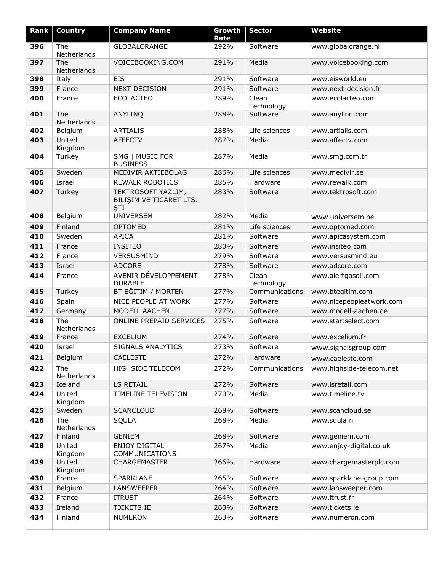| <b>Rank</b> | <b>Country</b>     | <b>Company Name</b>                                         | Growth<br>Rate | <b>Sector</b>       | <b>Website</b>           |
|-------------|--------------------|-------------------------------------------------------------|----------------|---------------------|--------------------------|
| 396         | The<br>Netherlands | GLOBALORANGE                                                | 292%           | Software            | www.globalorange.nl      |
| 397         | The<br>Netherlands | VOICEBOOKING.COM                                            | 291%           | Media               | www.voicebooking.com     |
| 398         | Italy              | <b>EIS</b>                                                  | 291%           | Software            | www.eisworld.eu          |
| 399         | France             | <b>NEXT DECISION</b>                                        | 291%           | Software            | www.next-decision.fr     |
| 400         | France             | <b>ECOLACTEO</b>                                            | 289%           | Clean<br>Technology | www.ecolacteo.com        |
| 401         | The<br>Netherlands | <b>ANYLINQ</b>                                              | 288%           | Software            | www.anyling.com          |
| 402         | Belgium            | <b>ARTIALIS</b>                                             | 288%           | Life sciences       | www.artialis.com         |
| 403         | United<br>Kingdom  | <b>AFFECTV</b>                                              | 287%           | Media               | www.affectv.com          |
| 404         | Turkey             | SMG   MUSIC FOR<br><b>BUSINESS</b>                          | 287%           | Media               | www.smg.com.tr           |
| 405         | Sweden             | MEDIVIR AKTIEBOLAG                                          | 286%           | Life sciences       | www.medivir.se           |
| 406         | Israel             | <b>REWALK ROBOTICS</b>                                      | 285%           | Hardware            | www.rewalk.com           |
| 407         | Turkey             | TEKTROSOFT YAZLIM,<br>BILIŞIM VE TICARET LTS.<br><b>STI</b> | 283%           | Software            | www.tektrosoft.com       |
| 408         | Belgium            | <b>UNIVERSEM</b>                                            | 282%           | Media               | www.universem.be         |
| 409         | Finland            | <b>OPTOMED</b>                                              | 281%           | Life sciences       | www.optomed.com          |
| 410         | Sweden             | <b>APICA</b>                                                | 281%           | Software            | www.apicasystem.com      |
| 411         | France             | <b>INSITEO</b>                                              | 280%           | Software            | www.insiteo.com          |
| 412         | France             | VERSUSMIND                                                  | 279%           | Software            | www.versusmind.eu        |
| 413         | Israel             | <b>ADCORE</b>                                               | 278%           | Software            | www.adcore.com           |
| 414         | France             | AVENIR DÉVELOPPEMENT<br><b>DURABLE</b>                      | 278%           | Clean<br>Technology | www.alertgasoil.com      |
| 415         | Turkey             | BT EĞITIM / MORTEN                                          | 277%           | Communications      | www.btegitim.com         |
| 416         | Spain              | NICE PEOPLE AT WORK                                         | 277%           | Software            | www.nicepeopleatwork.com |
| 417         | Germany            | MODELL AACHEN                                               | 277%           | Software            | www.modell-aachen.de     |
| 418         | The<br>Netherlands | ONLINE PREPAID SERVICES                                     | 275%           | Software            | www.startselect.com      |
| 419         | France             | <b>EXCELIUM</b>                                             | 274%           | Software            | www.excelium.fr          |
| 420         | Israel             | SIGNALS ANALYTICS                                           | 273%           | Software            | www.signalsgroup.com     |
| 421         | Belgium            | <b>CAELESTE</b>                                             | 272%           | Hardware            | www.caeleste.com         |
| 422         | The<br>Netherlands | <b>HIGHSIDE TELECOM</b>                                     | 272%           | Communications      | www.highside-telecom.net |
| 423         | Iceland            | LS RETAIL                                                   | 272%           | Software            | www.lsretail.com         |
| 424         | United<br>Kingdom  | TIMELINE TELEVISION                                         | 270%           | Media               | www.timeline.tv          |
| 425         | Sweden             | <b>SCANCLOUD</b>                                            | 268%           | Software            | www.scancloud.se         |
| 426         | The<br>Netherlands | SQULA                                                       | 268%           | Media               | www.squla.nl             |
| 427         | Finland            | <b>GENIEM</b>                                               | 268%           | Software            | www.geniem.com           |
| 428         | United<br>Kingdom  | <b>ENJOY DIGITAL</b><br><b>COMMUNICATIONS</b>               | 267%           | Media               | www.enjoy-digital.co.uk  |
| 429         | United<br>Kingdom  | <b>CHARGEMASTER</b>                                         | 266%           | Hardware            | www.chargemasterplc.com  |
| 430         | France             | SPARKLANE                                                   | 265%           | Software            | www.sparklane-group.com  |
| 431         | Belgium            | <b>LANSWEEPER</b>                                           | 264%           | Software            | www.lansweeper.com       |
| 432         | France             | <b>ITRUST</b>                                               | 264%           | Software            | www.itrust.fr            |
| 433         | Ireland            | <b>TICKETS.IE</b>                                           | 263%           | Software            | www.tickets.ie           |
| 434         | Finland            | <b>NUMERON</b>                                              | 263%           | Software            | www.numeron.com          |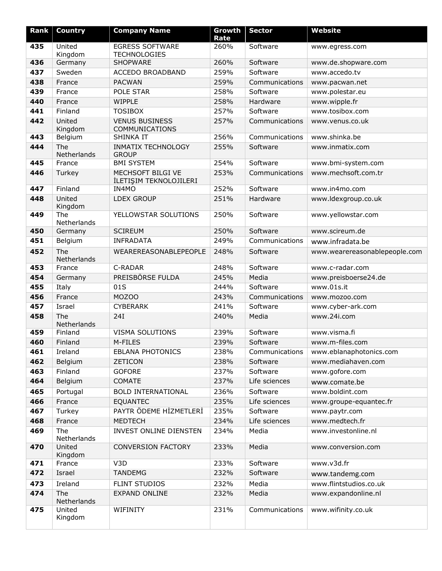| Rank       | <b>Country</b>        | <b>Company Name</b>                           | Growth<br>Rate | <b>Sector</b>             | <b>Website</b>                            |
|------------|-----------------------|-----------------------------------------------|----------------|---------------------------|-------------------------------------------|
| 435        | United<br>Kingdom     | <b>EGRESS SOFTWARE</b><br><b>TECHNOLOGIES</b> | 260%           | Software                  | www.egress.com                            |
| 436        | Germany               | <b>SHOPWARE</b>                               | 260%           | Software                  | www.de.shopware.com                       |
| 437        | Sweden                | ACCEDO BROADBAND                              | 259%           | Software                  | www.accedo.tv                             |
| 438        | France                | <b>PACWAN</b>                                 | 259%           | Communications            | www.pacwan.net                            |
| 439        | France                | POLE STAR                                     | 258%           | Software                  | www.polestar.eu                           |
| 440        | France                | WIPPLE                                        | 258%           | Hardware                  | www.wipple.fr                             |
| 441        | Finland               | <b>TOSIBOX</b>                                | 257%           | Software                  | www.tosibox.com                           |
| 442        | United<br>Kingdom     | <b>VENUS BUSINESS</b><br>COMMUNICATIONS       | 257%           | Communications            | www.venus.co.uk                           |
| 443        | Belgium               | SHINKA IT                                     | 256%           | Communications            | www.shinka.be                             |
| 444        | The<br>Netherlands    | <b>INMATIX TECHNOLOGY</b><br><b>GROUP</b>     | 255%           | Software                  | www.inmatix.com                           |
| 445        | France                | <b>BMI SYSTEM</b>                             | 254%           | Software                  | www.bmi-system.com                        |
| 446        | Turkey                | MECHSOFT BILGI VE<br>İLETIŞIM TEKNOLOJILERI   | 253%           | Communications            | www.mechsoft.com.tr                       |
| 447        | Finland               | IN4MO                                         | 252%           | Software                  | www.in4mo.com                             |
| 448        | United<br>Kingdom     | <b>LDEX GROUP</b>                             | 251%           | Hardware                  | www.ldexgroup.co.uk                       |
| 449        | The<br>Netherlands    | YELLOWSTAR SOLUTIONS                          | 250%           | Software                  | www.yellowstar.com                        |
| 450        | Germany               | <b>SCIREUM</b>                                | 250%           | Software                  | www.scireum.de                            |
| 451        | Belgium               | <b>INFRADATA</b>                              | 249%           | Communications            | www.infradata.be                          |
| 452        | The<br>Netherlands    | WEAREREASONABLEPEOPLE                         | 248%           | Software                  | www.wearereasonablepeople.com             |
| 453        | France                | C-RADAR                                       | 248%           | Software                  | www.c-radar.com                           |
| 454        | Germany               | PREISBÖRSE FULDA                              | 245%           | Media                     | www.preisboerse24.de                      |
| 455        | Italy                 | 01S                                           | 244%           | Software                  | www.01s.it                                |
| 456        | France                | <b>MOZOO</b>                                  | 243%           | Communications            | www.mozoo.com                             |
| 457        | Israel                | <b>CYBERARK</b>                               | 241%           | Software                  | www.cyber-ark.com                         |
| 458        | The<br>Netherlands    | <b>24I</b>                                    | 240%           | Media                     | www.24i.com                               |
| 459        | Finland               | <b>VISMA SOLUTIONS</b>                        | 239%           | Software                  | www.visma.fi                              |
| 460        | Finland               | M-FILES                                       | 239%           | Software                  | www.m-files.com                           |
| 461        | Ireland               | <b>EBLANA PHOTONICS</b>                       | 238%           | Communications            | www.eblanaphotonics.com                   |
| 462        | Belgium               | <b>ZETICON</b>                                | 238%           | Software                  | www.mediahaven.com                        |
| 463<br>464 | Finland               | <b>GOFORE</b><br><b>COMATE</b>                | 237%<br>237%   | Software<br>Life sciences | www.gofore.com                            |
|            | Belgium               |                                               |                |                           | www.comate.be                             |
| 465        | Portugal              | <b>BOLD INTERNATIONAL</b>                     | 236%           | Software                  | www.boldint.com                           |
| 466        | France                | <b>EQUANTEC</b><br>PAYTR ÖDEME HİZMETLERİ     | 235%           | Life sciences             | www.groupe-equantec.fr                    |
| 467<br>468 | Turkey                | <b>MEDTECH</b>                                | 235%           | Software                  | www.paytr.com                             |
| 469        | France<br>The         | INVEST ONLINE DIENSTEN                        | 234%<br>234%   | Life sciences<br>Media    | www.medtech.fr<br>www.investonline.nl     |
| 470        | Netherlands<br>United | <b>CONVERSION FACTORY</b>                     | 233%           | Media                     | www.conversion.com                        |
| 471        | Kingdom<br>France     | V <sub>3</sub> D                              | 233%           | Software                  | www.v3d.fr                                |
| 472        | Israel                | <b>TANDEMG</b>                                | 232%           | Software                  |                                           |
| 473        | Ireland               | FLINT STUDIOS                                 |                | Media                     | www.tandemg.com<br>www.flintstudios.co.uk |
| 474        | The                   | EXPAND ONLINE                                 | 232%<br>232%   | Media                     | www.expandonline.nl                       |
|            | Netherlands           |                                               |                |                           |                                           |
| 475        | United<br>Kingdom     | WIFINITY                                      | 231%           | Communications            | www.wifinity.co.uk                        |